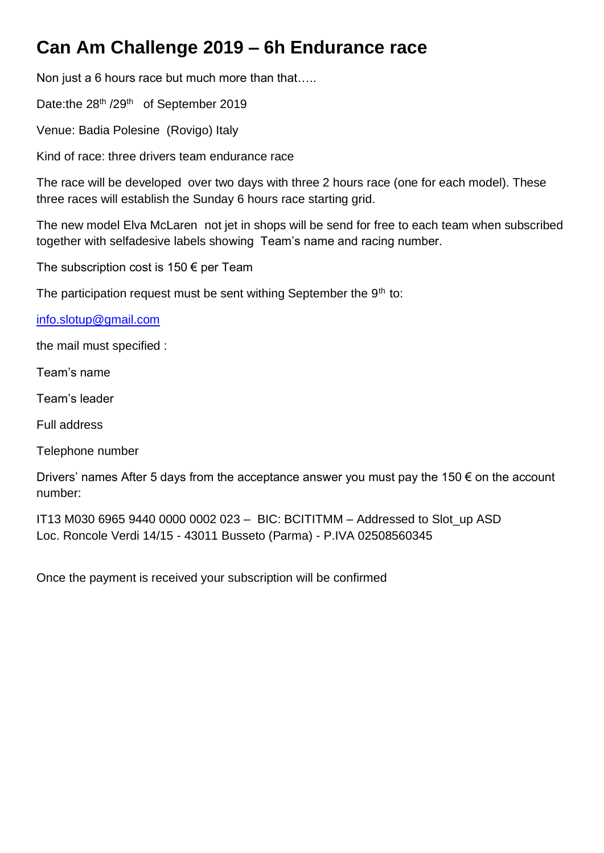## **Can Am Challenge 2019 – 6h Endurance race**

Non just a 6 hours race but much more than that…..

Date:the 28<sup>th</sup> /29<sup>th</sup> of September 2019

Venue: Badia Polesine (Rovigo) Italy

Kind of race: three drivers team endurance race

The race will be developed over two days with three 2 hours race (one for each model). These three races will establish the Sunday 6 hours race starting grid.

The new model Elva McLaren not jet in shops will be send for free to each team when subscribed together with selfadesive labels showing Team's name and racing number.

The subscription cost is  $150 \in \text{per Team}$ 

The participation request must be sent withing September the  $9<sup>th</sup>$  to:

[info.slotup@gmail.com](mailto:info.slotup@gmail.com) 

the mail must specified :

Team's name

Team's leader

Full address

Telephone number

Drivers' names After 5 days from the acceptance answer you must pay the 150  $\epsilon$  on the account number:

IT13 M030 6965 9440 0000 0002 023 – BIC: BCITITMM – Addressed to Slot\_up ASD Loc. Roncole Verdi 14/15 - 43011 Busseto (Parma) - P.IVA 02508560345

Once the payment is received your subscription will be confirmed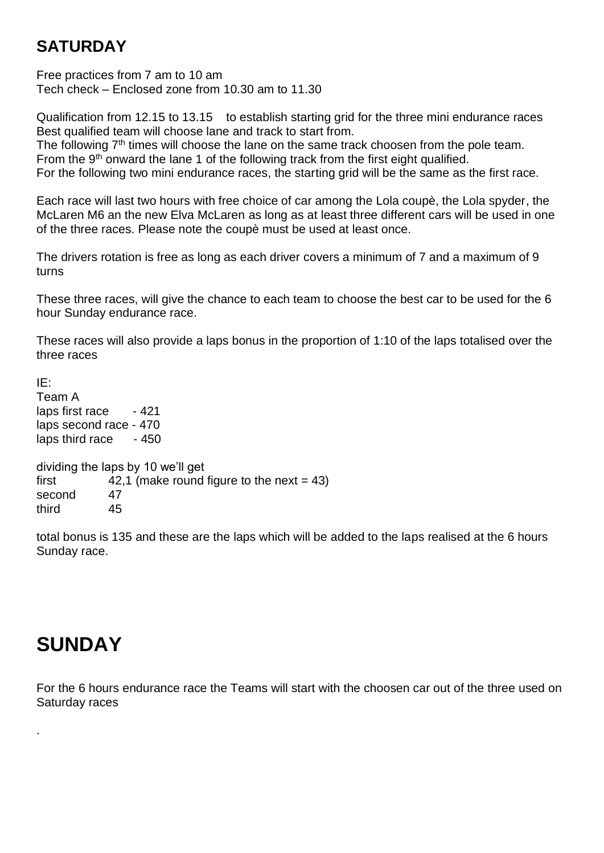## **SATURDAY**

Free practices from 7 am to 10 am Tech check – Enclosed zone from 10.30 am to 11.30

Qualification from 12.15 to 13.15 to establish starting grid for the three mini endurance races Best qualified team will choose lane and track to start from.

The following 7<sup>th</sup> times will choose the lane on the same track choosen from the pole team. From the  $9<sup>th</sup>$  onward the lane 1 of the following track from the first eight qualified.

For the following two mini endurance races, the starting grid will be the same as the first race.

Each race will last two hours with free choice of car among the Lola coupè, the Lola spyder, the McLaren M6 an the new Elva McLaren as long as at least three different cars will be used in one of the three races. Please note the coupè must be used at least once.

The drivers rotation is free as long as each driver covers a minimum of 7 and a maximum of 9 turns

These three races, will give the chance to each team to choose the best car to be used for the 6 hour Sunday endurance race.

These races will also provide a laps bonus in the proportion of 1:10 of the laps totalised over the three races

IE: Team A laps first race - 421 laps second race - 470 laps third race - 450 dividing the laps by 10 we'll get first  $42,1$  (make round figure to the next = 43) second 47

third 45

total bonus is 135 and these are the laps which will be added to the laps realised at the 6 hours Sunday race.

## **SUNDAY**

.

For the 6 hours endurance race the Teams will start with the choosen car out of the three used on Saturday races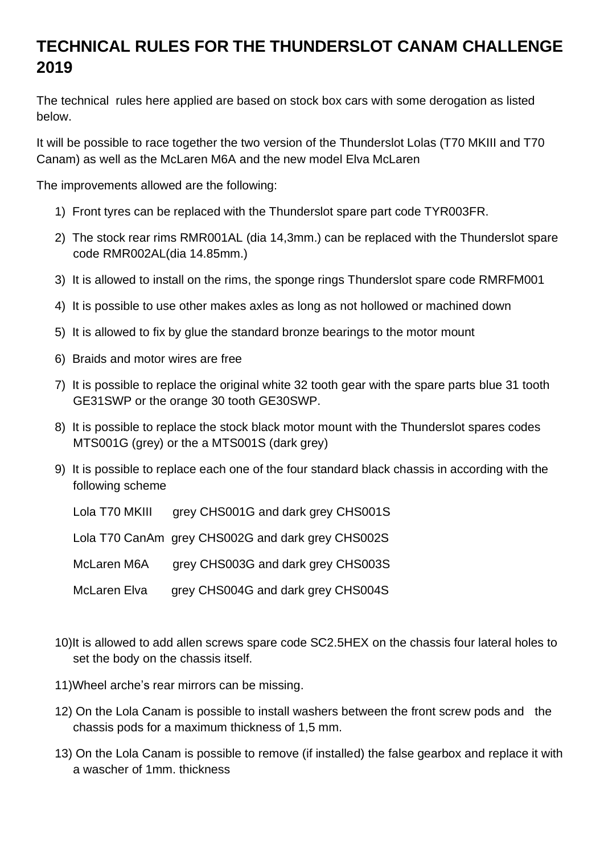## **TECHNICAL RULES FOR THE THUNDERSLOT CANAM CHALLENGE 2019**

The technical rules here applied are based on stock box cars with some derogation as listed below.

It will be possible to race together the two version of the Thunderslot Lolas (T70 MKIII and T70 Canam) as well as the McLaren M6A and the new model Elva McLaren

The improvements allowed are the following:

- 1) Front tyres can be replaced with the Thunderslot spare part code TYR003FR.
- 2) The stock rear rims RMR001AL (dia 14,3mm.) can be replaced with the Thunderslot spare code RMR002AL(dia 14.85mm.)
- 3) It is allowed to install on the rims, the sponge rings Thunderslot spare code RMRFM001
- 4) It is possible to use other makes axles as long as not hollowed or machined down
- 5) It is allowed to fix by glue the standard bronze bearings to the motor mount
- 6) Braids and motor wires are free
- 7) It is possible to replace the original white 32 tooth gear with the spare parts blue 31 tooth GE31SWP or the orange 30 tooth GE30SWP.
- 8) It is possible to replace the stock black motor mount with the Thunderslot spares codes MTS001G (grey) or the a MTS001S (dark grey)
- 9) It is possible to replace each one of the four standard black chassis in according with the following scheme

| Lola T70 MKIII | grey CHS001G and dark grey CHS001S                |
|----------------|---------------------------------------------------|
|                | Lola T70 CanAm grey CHS002G and dark grey CHS002S |
| McLaren M6A    | grey CHS003G and dark grey CHS003S                |
| McLaren Elva   | grey CHS004G and dark grey CHS004S                |

- 10)It is allowed to add allen screws spare code SC2.5HEX on the chassis four lateral holes to set the body on the chassis itself.
- 11)Wheel arche's rear mirrors can be missing.
- 12) On the Lola Canam is possible to install washers between the front screw pods and the chassis pods for a maximum thickness of 1,5 mm.
- 13) On the Lola Canam is possible to remove (if installed) the false gearbox and replace it with a wascher of 1mm. thickness